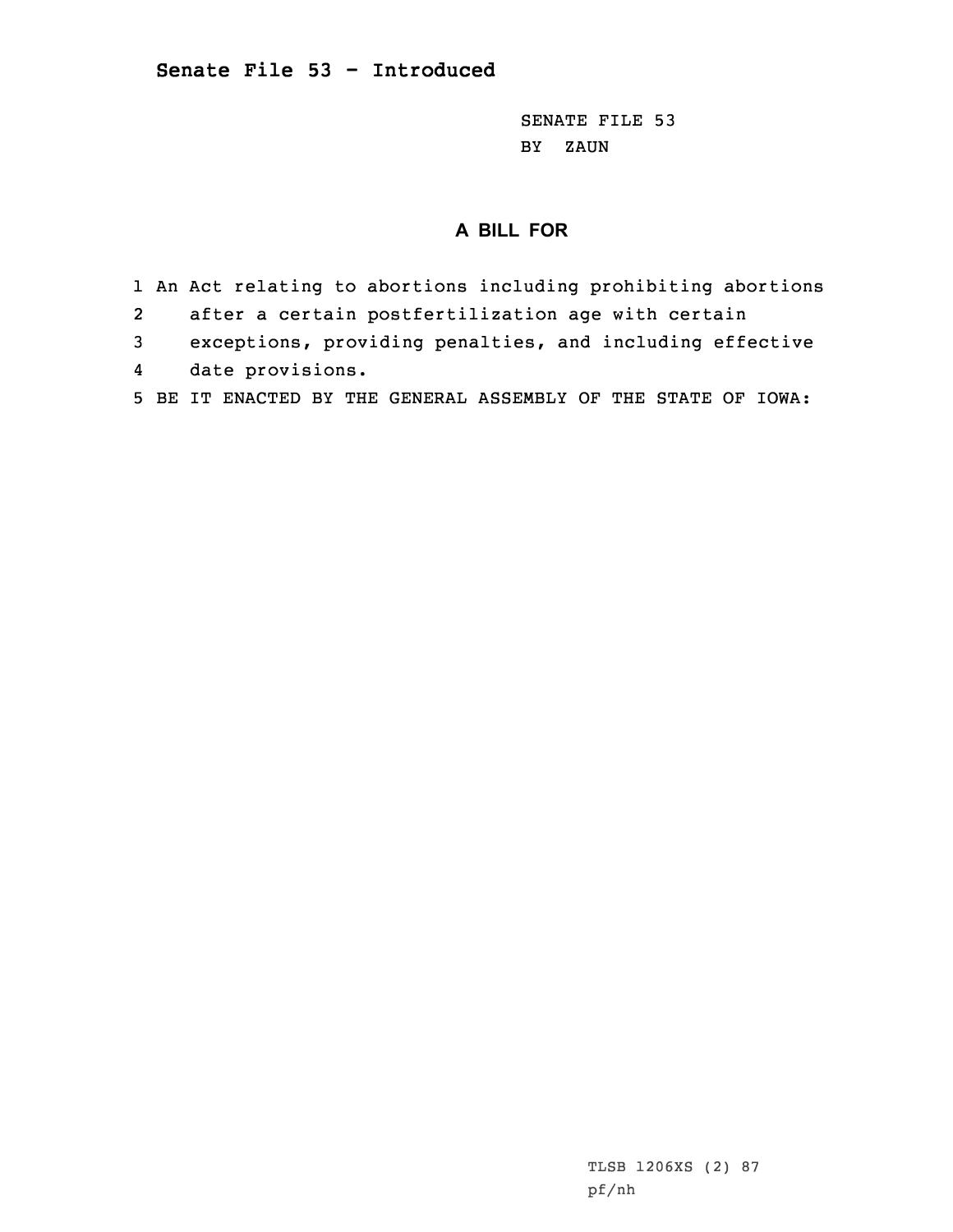SENATE FILE 53 BY ZAUN

## **A BILL FOR**

- 1 An Act relating to abortions including prohibiting abortions
- 2after <sup>a</sup> certain postfertilization age with certain
- 3 exceptions, providing penalties, and including effective
- 4date provisions.
- 5 BE IT ENACTED BY THE GENERAL ASSEMBLY OF THE STATE OF IOWA: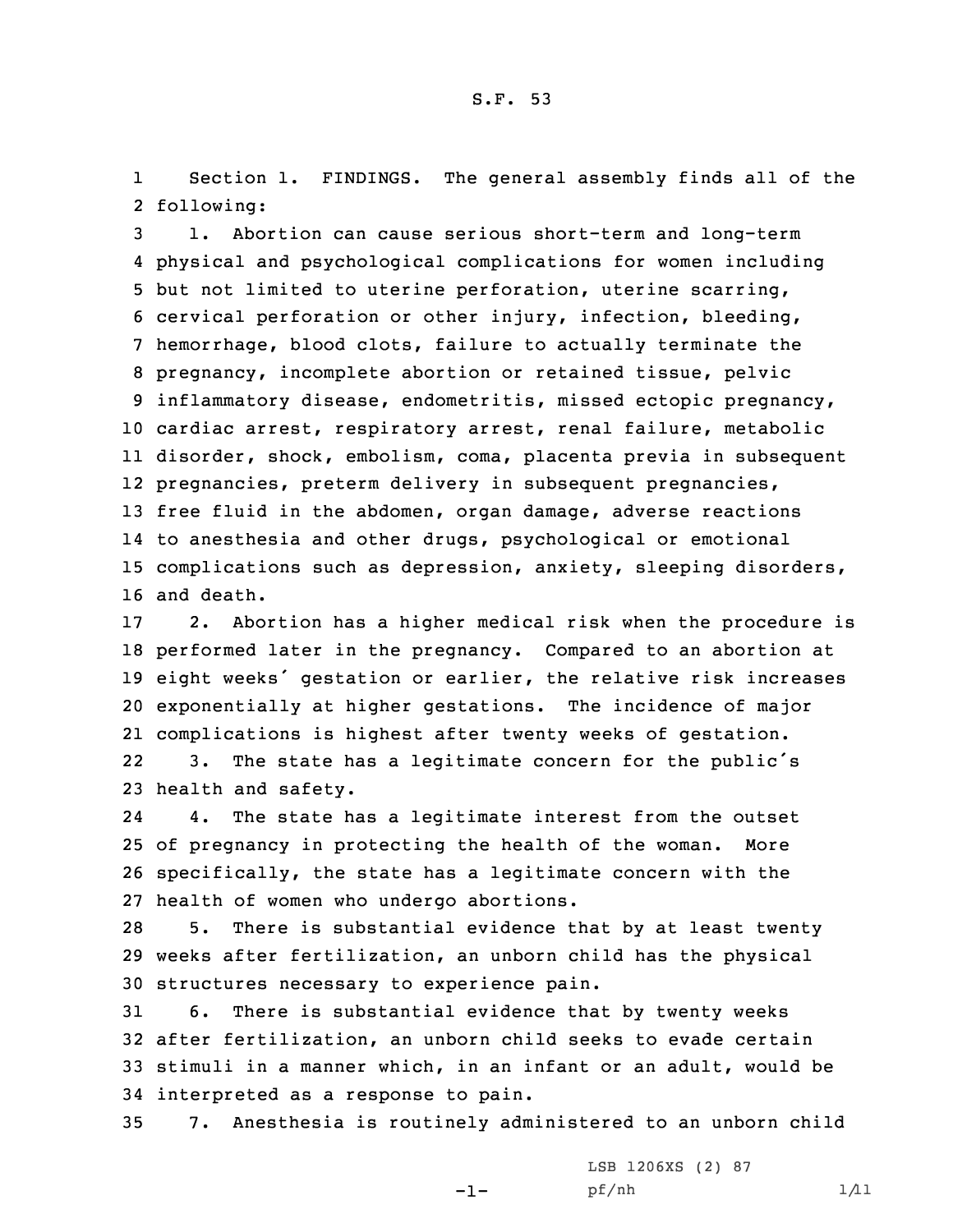1 Section 1. FINDINGS. The general assembly finds all of the 2 following:

 1. Abortion can cause serious short-term and long-term physical and psychological complications for women including but not limited to uterine perforation, uterine scarring, cervical perforation or other injury, infection, bleeding, hemorrhage, blood clots, failure to actually terminate the pregnancy, incomplete abortion or retained tissue, pelvic inflammatory disease, endometritis, missed ectopic pregnancy, cardiac arrest, respiratory arrest, renal failure, metabolic disorder, shock, embolism, coma, placenta previa in subsequent pregnancies, preterm delivery in subsequent pregnancies, free fluid in the abdomen, organ damage, adverse reactions to anesthesia and other drugs, psychological or emotional complications such as depression, anxiety, sleeping disorders, and death.

 2. Abortion has <sup>a</sup> higher medical risk when the procedure is performed later in the pregnancy. Compared to an abortion at eight weeks' gestation or earlier, the relative risk increases exponentially at higher gestations. The incidence of major complications is highest after twenty weeks of gestation. 22 3. The state has <sup>a</sup> legitimate concern for the public's health and safety.

24 4. The state has <sup>a</sup> legitimate interest from the outset 25 of pregnancy in protecting the health of the woman. More 26 specifically, the state has <sup>a</sup> legitimate concern with the 27 health of women who undergo abortions.

28 5. There is substantial evidence that by at least twenty 29 weeks after fertilization, an unborn child has the physical 30 structures necessary to experience pain.

 6. There is substantial evidence that by twenty weeks after fertilization, an unborn child seeks to evade certain stimuli in <sup>a</sup> manner which, in an infant or an adult, would be interpreted as <sup>a</sup> response to pain.

35 7. Anesthesia is routinely administered to an unborn child

-1-

LSB 1206XS (2) 87 pf/nh 1/11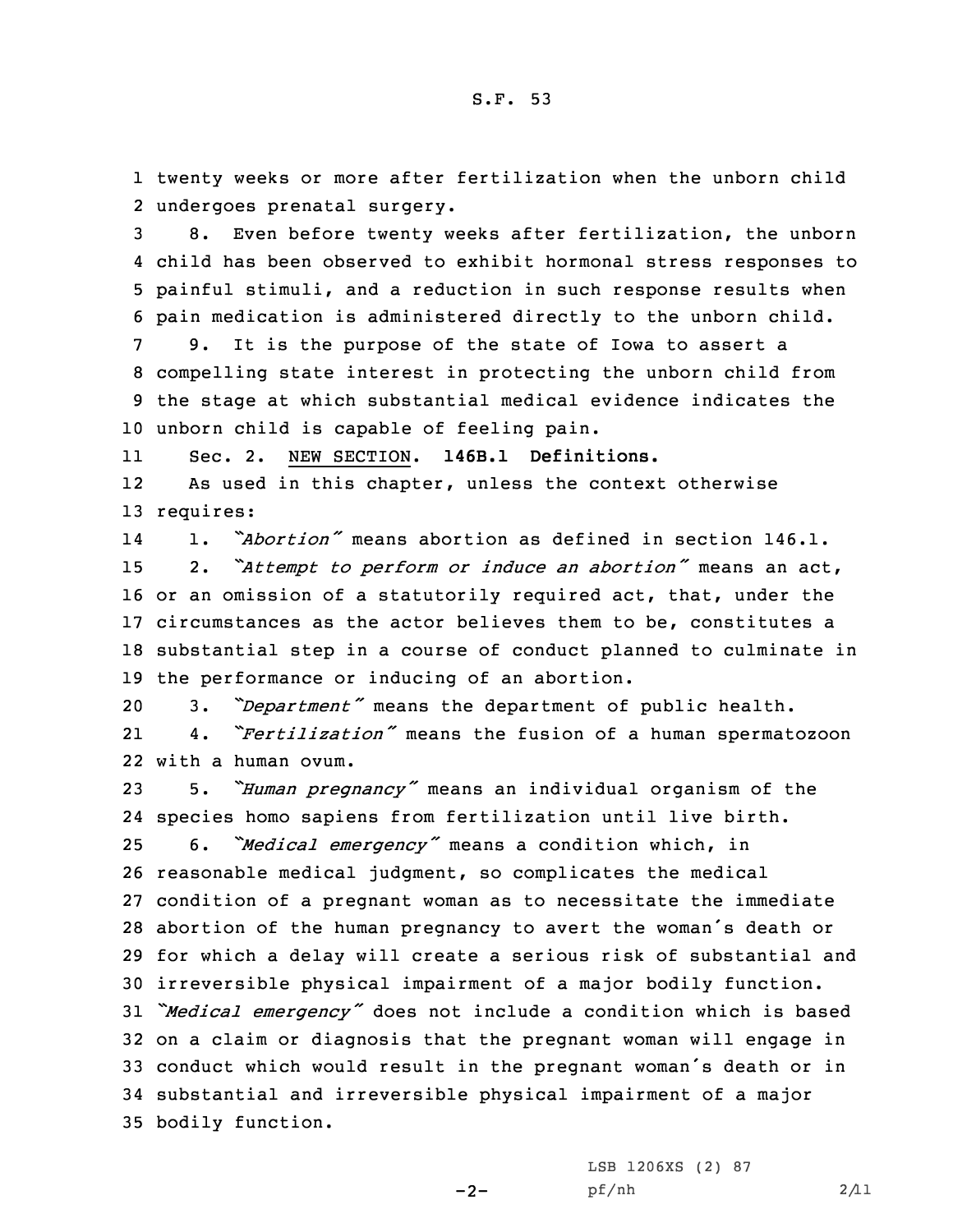1 twenty weeks or more after fertilization when the unborn child 2 undergoes prenatal surgery.

 8. Even before twenty weeks after fertilization, the unborn child has been observed to exhibit hormonal stress responses to painful stimuli, and <sup>a</sup> reduction in such response results when pain medication is administered directly to the unborn child.

 9. It is the purpose of the state of Iowa to assert <sup>a</sup> compelling state interest in protecting the unborn child from the stage at which substantial medical evidence indicates the unborn child is capable of feeling pain.

11Sec. 2. NEW SECTION. **146B.1 Definitions.**

12 As used in this chapter, unless the context otherwise 13 requires:

14 1. *"Abortion"* means abortion as defined in section 146.1. 2. *"Attempt to perform or induce an abortion"* means an act, or an omission of <sup>a</sup> statutorily required act, that, under the circumstances as the actor believes them to be, constitutes <sup>a</sup> substantial step in <sup>a</sup> course of conduct planned to culminate in the performance or inducing of an abortion.

<sup>20</sup> 3. *"Department"* means the department of public health. 21 4. *"Fertilization"* means the fusion of <sup>a</sup> human spermatozoon 22 with <sup>a</sup> human ovum.

 5. *"Human pregnancy"* means an individual organism of the species homo sapiens from fertilization until live birth. 6. *"Medical emergency"* means <sup>a</sup> condition which, in reasonable medical judgment, so complicates the medical condition of <sup>a</sup> pregnant woman as to necessitate the immediate abortion of the human pregnancy to avert the woman's death or for which <sup>a</sup> delay will create <sup>a</sup> serious risk of substantial and irreversible physical impairment of <sup>a</sup> major bodily function. *"Medical emergency"* does not include <sup>a</sup> condition which is based on <sup>a</sup> claim or diagnosis that the pregnant woman will engage in conduct which would result in the pregnant woman's death or in substantial and irreversible physical impairment of <sup>a</sup> major bodily function.

 $-2-$ 

LSB 1206XS (2) 87 pf/nh 2/11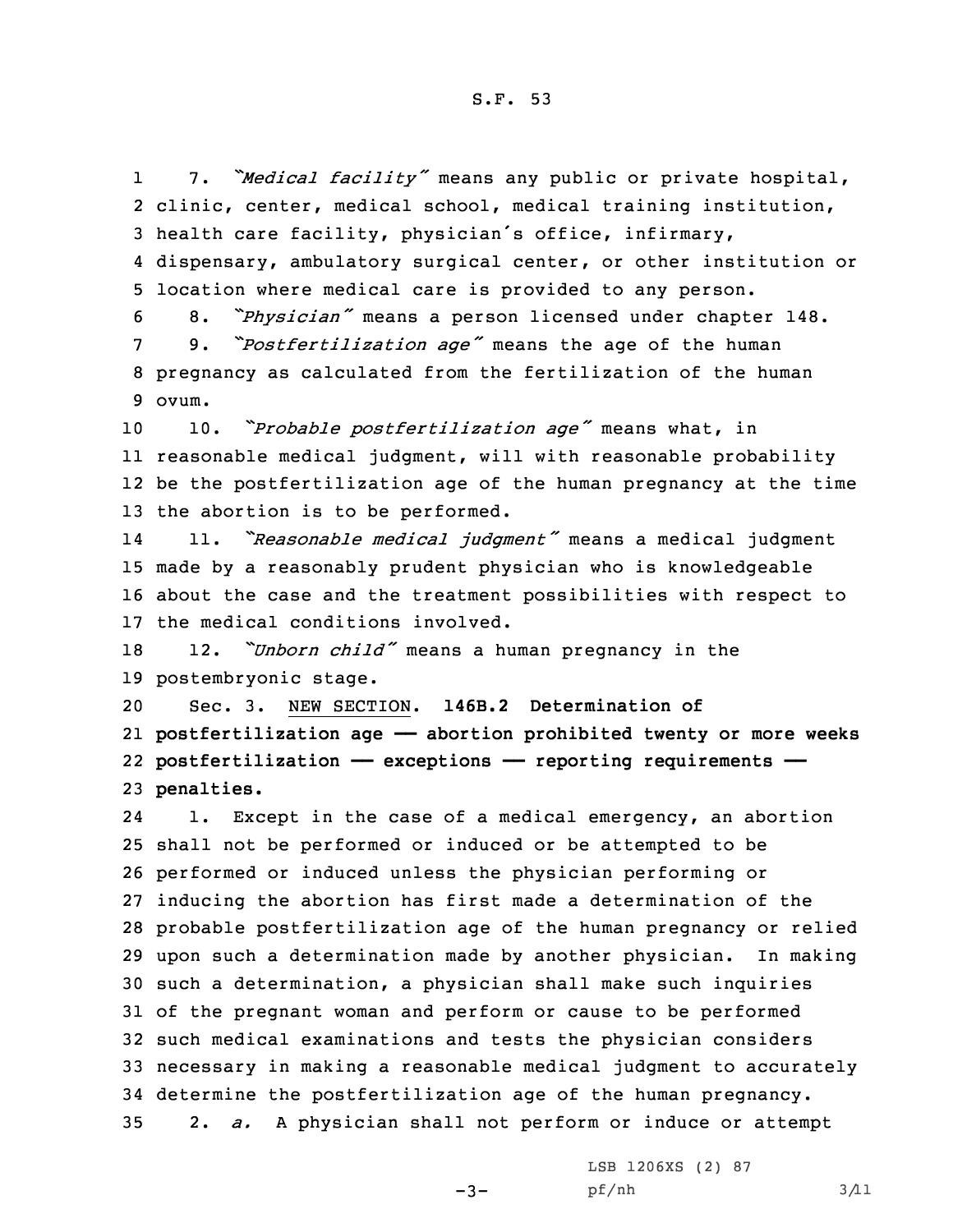1 7. *"Medical facility"* means any public or private hospital, clinic, center, medical school, medical training institution, health care facility, physician's office, infirmary, dispensary, ambulatory surgical center, or other institution or location where medical care is provided to any person.

 8. *"Physician"* means <sup>a</sup> person licensed under chapter 148. 9. *"Postfertilization age"* means the age of the human pregnancy as calculated from the fertilization of the human 9 ovum.

 10. *"Probable postfertilization age"* means what, in reasonable medical judgment, will with reasonable probability be the postfertilization age of the human pregnancy at the time the abortion is to be performed.

14 11. *"Reasonable medical judgment"* means <sup>a</sup> medical judgment 15 made by <sup>a</sup> reasonably prudent physician who is knowledgeable 16 about the case and the treatment possibilities with respect to 17 the medical conditions involved.

<sup>18</sup> 12. *"Unborn child"* means <sup>a</sup> human pregnancy in the 19 postembryonic stage.

 Sec. 3. NEW SECTION. **146B.2 Determination of postfertilization age —— abortion prohibited twenty or more weeks postfertilization —— exceptions —— reporting requirements —— penalties.**

24 1. Except in the case of <sup>a</sup> medical emergency, an abortion shall not be performed or induced or be attempted to be performed or induced unless the physician performing or inducing the abortion has first made <sup>a</sup> determination of the probable postfertilization age of the human pregnancy or relied upon such <sup>a</sup> determination made by another physician. In making such <sup>a</sup> determination, <sup>a</sup> physician shall make such inquiries of the pregnant woman and perform or cause to be performed such medical examinations and tests the physician considers necessary in making <sup>a</sup> reasonable medical judgment to accurately determine the postfertilization age of the human pregnancy. 2. *a.* <sup>A</sup> physician shall not perform or induce or attempt

 $-3-$ 

LSB 1206XS (2) 87 pf/nh 3/11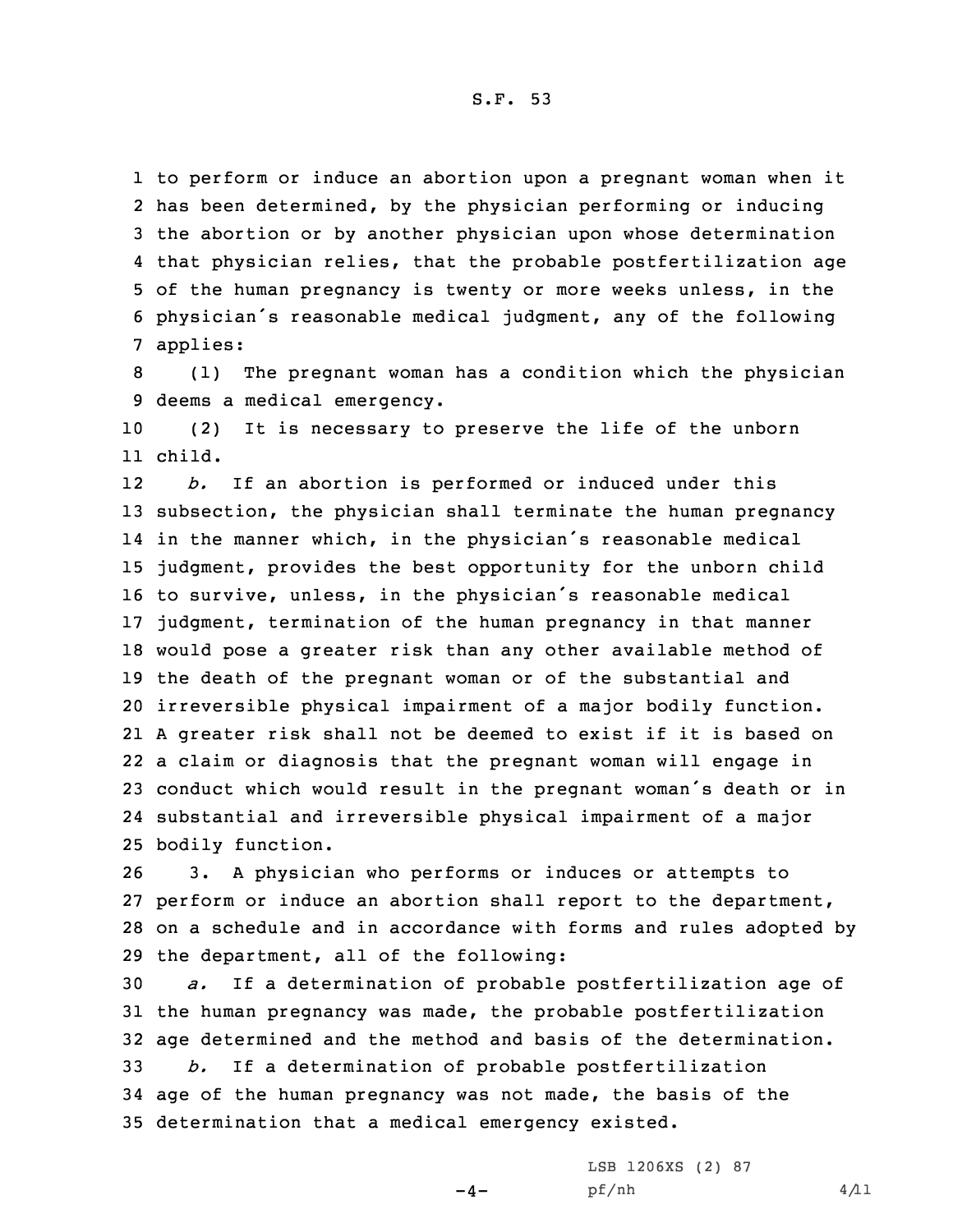to perform or induce an abortion upon <sup>a</sup> pregnant woman when it has been determined, by the physician performing or inducing the abortion or by another physician upon whose determination that physician relies, that the probable postfertilization age of the human pregnancy is twenty or more weeks unless, in the physician's reasonable medical judgment, any of the following 7 applies:

8 (1) The pregnant woman has <sup>a</sup> condition which the physician 9 deems <sup>a</sup> medical emergency.

10 (2) It is necessary to preserve the life of the unborn 11 child.

12 *b.* If an abortion is performed or induced under this subsection, the physician shall terminate the human pregnancy in the manner which, in the physician's reasonable medical judgment, provides the best opportunity for the unborn child to survive, unless, in the physician's reasonable medical judgment, termination of the human pregnancy in that manner would pose <sup>a</sup> greater risk than any other available method of the death of the pregnant woman or of the substantial and irreversible physical impairment of <sup>a</sup> major bodily function. <sup>A</sup> greater risk shall not be deemed to exist if it is based on <sup>a</sup> claim or diagnosis that the pregnant woman will engage in conduct which would result in the pregnant woman's death or in substantial and irreversible physical impairment of <sup>a</sup> major bodily function.

 3. <sup>A</sup> physician who performs or induces or attempts to perform or induce an abortion shall report to the department, on <sup>a</sup> schedule and in accordance with forms and rules adopted by the department, all of the following:

 *a.* If <sup>a</sup> determination of probable postfertilization age of the human pregnancy was made, the probable postfertilization age determined and the method and basis of the determination. *b.* If <sup>a</sup> determination of probable postfertilization age of the human pregnancy was not made, the basis of the determination that <sup>a</sup> medical emergency existed.

 $-4-$ 

LSB 1206XS (2) 87  $pf/nh$  4/11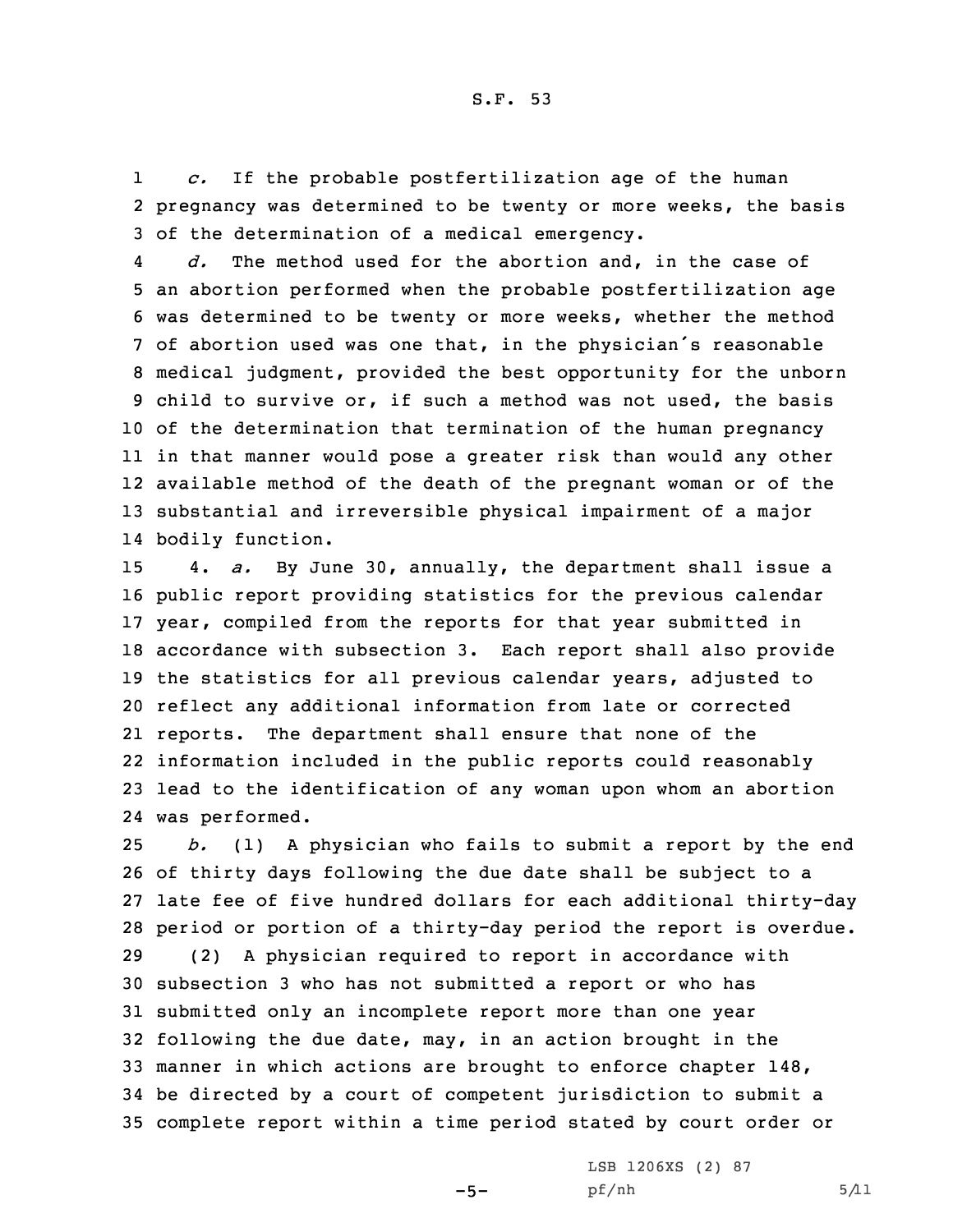1 *c.* If the probable postfertilization age of the human 2 pregnancy was determined to be twenty or more weeks, the basis 3 of the determination of <sup>a</sup> medical emergency.

4 *d.* The method used for the abortion and, in the case of an abortion performed when the probable postfertilization age was determined to be twenty or more weeks, whether the method of abortion used was one that, in the physician's reasonable medical judgment, provided the best opportunity for the unborn child to survive or, if such <sup>a</sup> method was not used, the basis of the determination that termination of the human pregnancy in that manner would pose <sup>a</sup> greater risk than would any other available method of the death of the pregnant woman or of the substantial and irreversible physical impairment of <sup>a</sup> major bodily function.

 4. *a.* By June 30, annually, the department shall issue <sup>a</sup> public report providing statistics for the previous calendar year, compiled from the reports for that year submitted in accordance with subsection 3. Each report shall also provide the statistics for all previous calendar years, adjusted to reflect any additional information from late or corrected reports. The department shall ensure that none of the information included in the public reports could reasonably lead to the identification of any woman upon whom an abortion was performed.

 *b.* (1) <sup>A</sup> physician who fails to submit <sup>a</sup> report by the end of thirty days following the due date shall be subject to <sup>a</sup> late fee of five hundred dollars for each additional thirty-day period or portion of <sup>a</sup> thirty-day period the report is overdue. (2) <sup>A</sup> physician required to report in accordance with

 subsection 3 who has not submitted <sup>a</sup> report or who has submitted only an incomplete report more than one year following the due date, may, in an action brought in the manner in which actions are brought to enforce chapter 148, be directed by <sup>a</sup> court of competent jurisdiction to submit <sup>a</sup> complete report within <sup>a</sup> time period stated by court order or

 $-5-$ 

LSB 1206XS (2) 87  $pf/nh$  5/11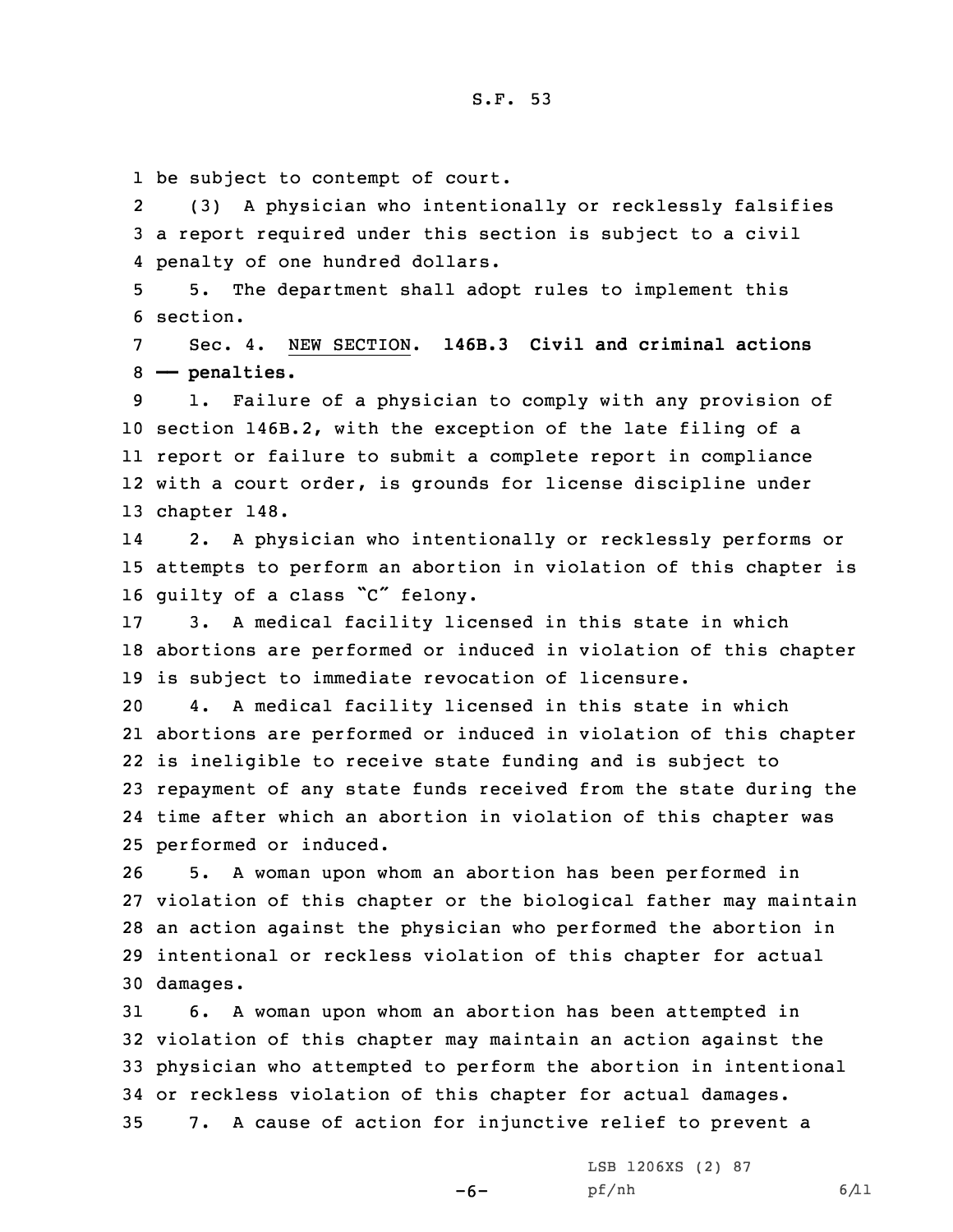1 be subject to contempt of court.

2 (3) <sup>A</sup> physician who intentionally or recklessly falsifies 3 <sup>a</sup> report required under this section is subject to <sup>a</sup> civil 4 penalty of one hundred dollars.

5 5. The department shall adopt rules to implement this 6 section.

7 Sec. 4. NEW SECTION. **146B.3 Civil and criminal actions** 8 **—— penalties.**

 1. Failure of <sup>a</sup> physician to comply with any provision of section 146B.2, with the exception of the late filing of <sup>a</sup> report or failure to submit <sup>a</sup> complete report in compliance with <sup>a</sup> court order, is grounds for license discipline under chapter 148.

14 2. <sup>A</sup> physician who intentionally or recklessly performs or 15 attempts to perform an abortion in violation of this chapter is <sup>16</sup> guilty of <sup>a</sup> class "C" felony.

17 3. <sup>A</sup> medical facility licensed in this state in which 18 abortions are performed or induced in violation of this chapter 19 is subject to immediate revocation of licensure.

 4. <sup>A</sup> medical facility licensed in this state in which abortions are performed or induced in violation of this chapter is ineligible to receive state funding and is subject to repayment of any state funds received from the state during the time after which an abortion in violation of this chapter was performed or induced.

 5. <sup>A</sup> woman upon whom an abortion has been performed in violation of this chapter or the biological father may maintain an action against the physician who performed the abortion in intentional or reckless violation of this chapter for actual 30 damages.

 6. <sup>A</sup> woman upon whom an abortion has been attempted in violation of this chapter may maintain an action against the physician who attempted to perform the abortion in intentional or reckless violation of this chapter for actual damages. 7. <sup>A</sup> cause of action for injunctive relief to prevent <sup>a</sup>

 $-6-$ 

LSB 1206XS (2) 87 pf/nh 6/11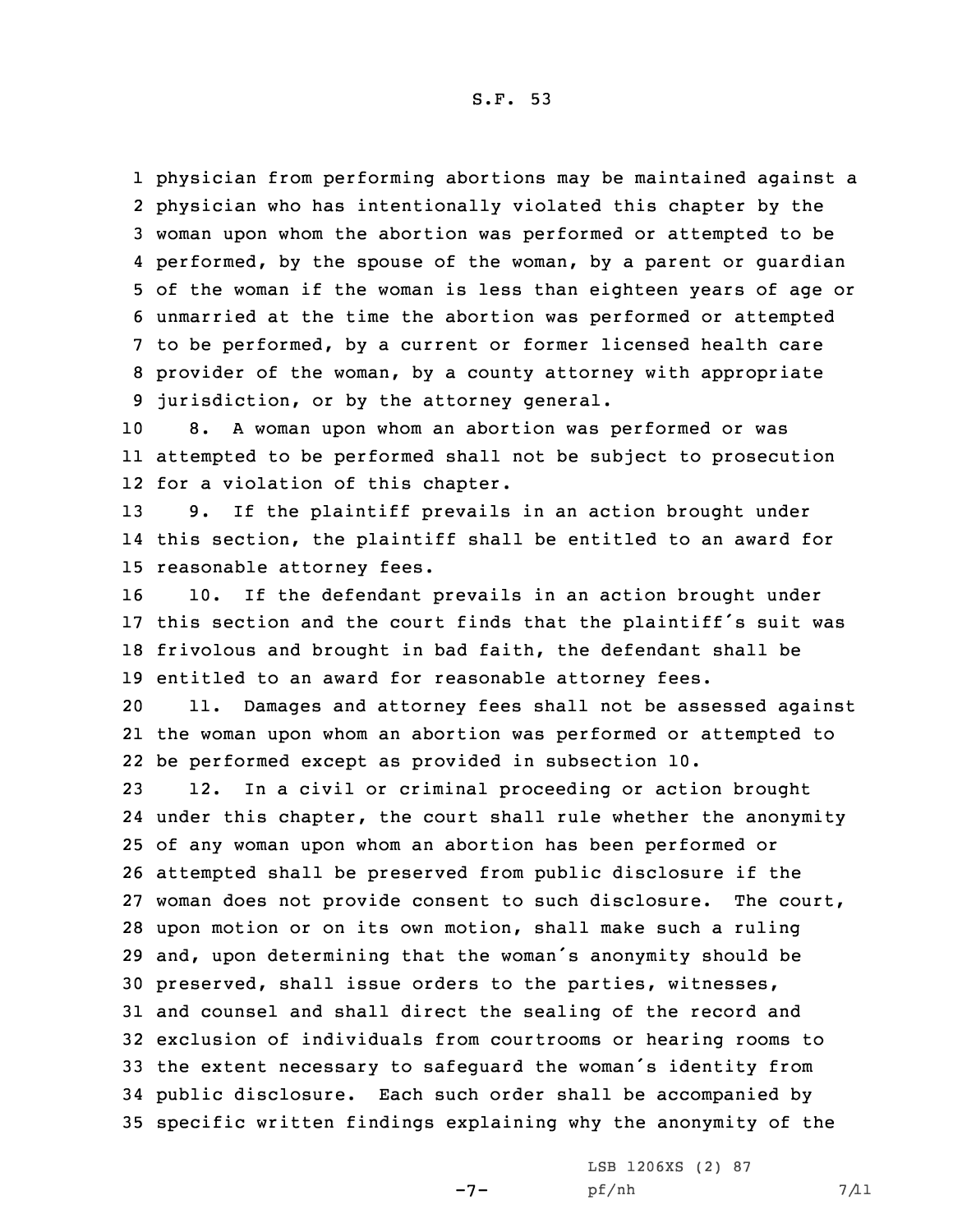physician from performing abortions may be maintained against <sup>a</sup> physician who has intentionally violated this chapter by the woman upon whom the abortion was performed or attempted to be performed, by the spouse of the woman, by <sup>a</sup> parent or guardian of the woman if the woman is less than eighteen years of age or unmarried at the time the abortion was performed or attempted to be performed, by <sup>a</sup> current or former licensed health care provider of the woman, by <sup>a</sup> county attorney with appropriate jurisdiction, or by the attorney general.

10 8. <sup>A</sup> woman upon whom an abortion was performed or was 11 attempted to be performed shall not be subject to prosecution 12 for <sup>a</sup> violation of this chapter.

13 9. If the plaintiff prevails in an action brought under 14 this section, the plaintiff shall be entitled to an award for 15 reasonable attorney fees.

 10. If the defendant prevails in an action brought under this section and the court finds that the plaintiff's suit was frivolous and brought in bad faith, the defendant shall be entitled to an award for reasonable attorney fees.

20 11. Damages and attorney fees shall not be assessed against 21 the woman upon whom an abortion was performed or attempted to 22 be performed except as provided in subsection 10.

 12. In <sup>a</sup> civil or criminal proceeding or action brought under this chapter, the court shall rule whether the anonymity of any woman upon whom an abortion has been performed or attempted shall be preserved from public disclosure if the woman does not provide consent to such disclosure. The court, upon motion or on its own motion, shall make such <sup>a</sup> ruling and, upon determining that the woman's anonymity should be preserved, shall issue orders to the parties, witnesses, and counsel and shall direct the sealing of the record and exclusion of individuals from courtrooms or hearing rooms to the extent necessary to safeguard the woman's identity from public disclosure. Each such order shall be accompanied by specific written findings explaining why the anonymity of the

 $-7-$ 

LSB 1206XS (2) 87 pf/nh 7/11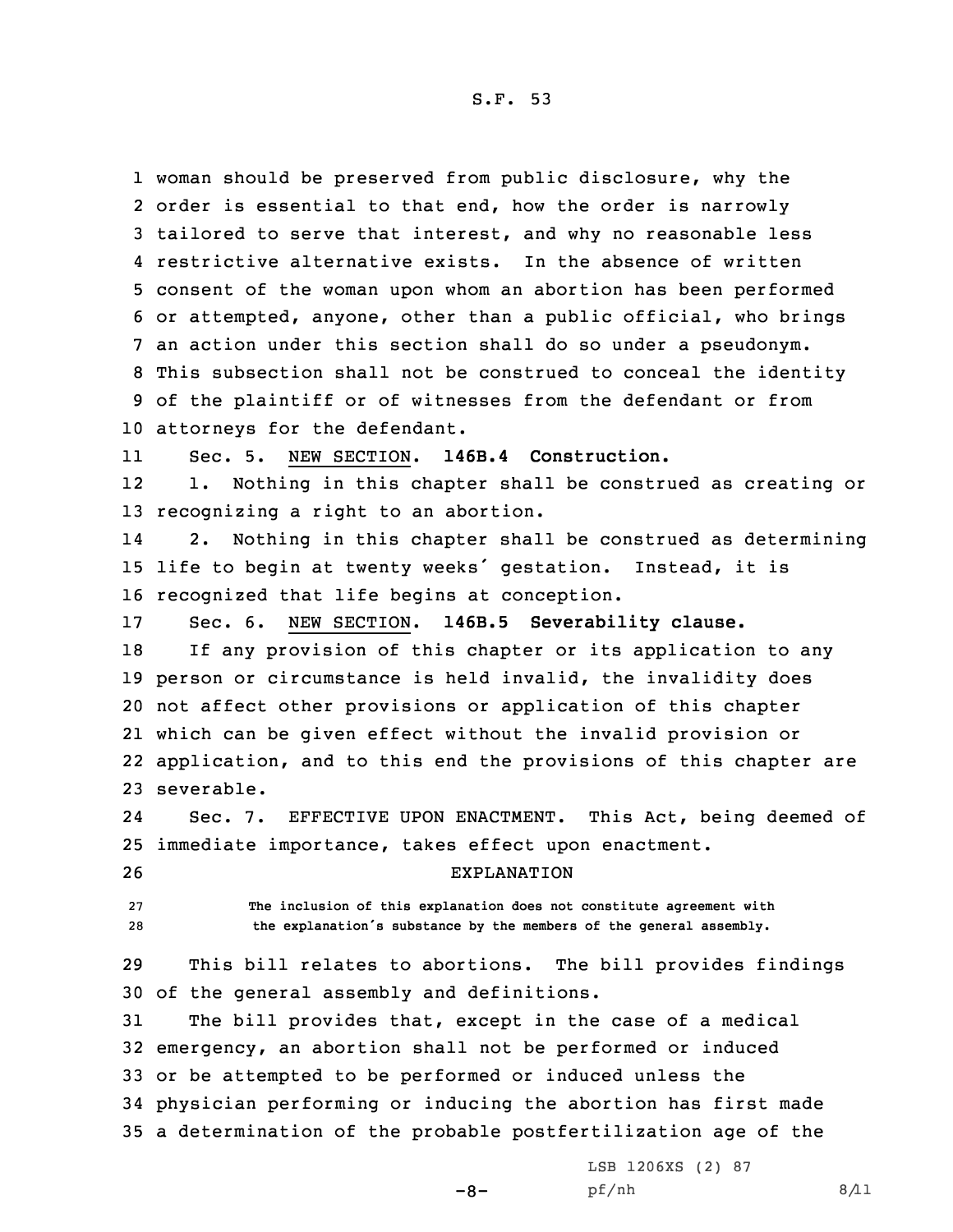woman should be preserved from public disclosure, why the order is essential to that end, how the order is narrowly tailored to serve that interest, and why no reasonable less restrictive alternative exists. In the absence of written consent of the woman upon whom an abortion has been performed or attempted, anyone, other than <sup>a</sup> public official, who brings an action under this section shall do so under <sup>a</sup> pseudonym. This subsection shall not be construed to conceal the identity of the plaintiff or of witnesses from the defendant or from attorneys for the defendant.

11Sec. 5. NEW SECTION. **146B.4 Construction.**

12 1. Nothing in this chapter shall be construed as creating or 13 recognizing <sup>a</sup> right to an abortion.

14 2. Nothing in this chapter shall be construed as determining <sup>15</sup> life to begin at twenty weeks' gestation. Instead, it is 16 recognized that life begins at conception.

17 Sec. 6. NEW SECTION. **146B.5 Severability clause.**

 If any provision of this chapter or its application to any person or circumstance is held invalid, the invalidity does not affect other provisions or application of this chapter which can be given effect without the invalid provision or application, and to this end the provisions of this chapter are severable.

24 Sec. 7. EFFECTIVE UPON ENACTMENT. This Act, being deemed of 25 immediate importance, takes effect upon enactment.

26 EXPLANATION

27 **The inclusion of this explanation does not constitute agreement with** <sup>28</sup> **the explanation's substance by the members of the general assembly.**

29 This bill relates to abortions. The bill provides findings 30 of the general assembly and definitions.

 The bill provides that, except in the case of <sup>a</sup> medical emergency, an abortion shall not be performed or induced or be attempted to be performed or induced unless the physician performing or inducing the abortion has first made <sup>a</sup> determination of the probable postfertilization age of the

 $-8-$ 

LSB 1206XS (2) 87  $pf/nh$  8/11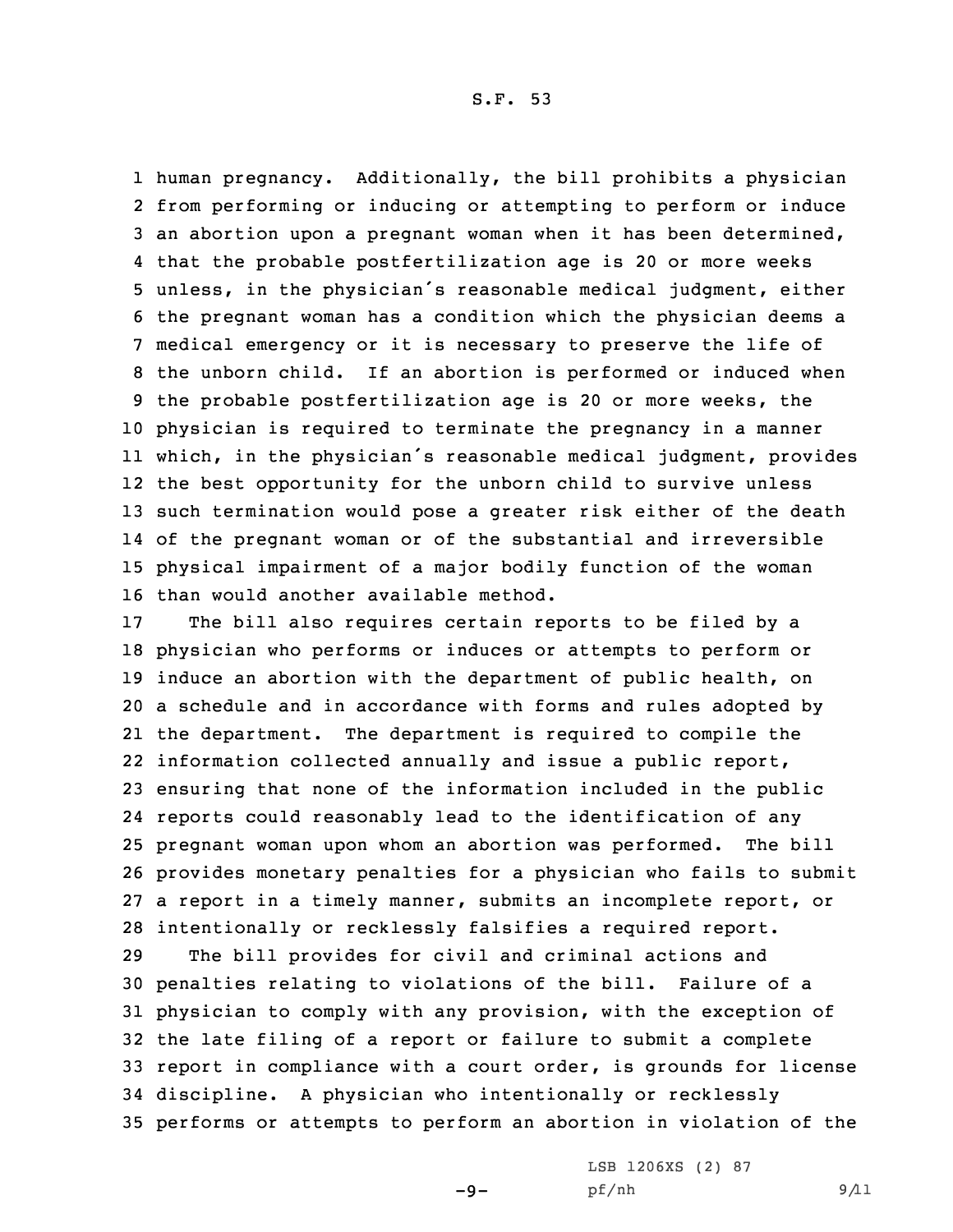human pregnancy. Additionally, the bill prohibits <sup>a</sup> physician from performing or inducing or attempting to perform or induce an abortion upon <sup>a</sup> pregnant woman when it has been determined, that the probable postfertilization age is 20 or more weeks unless, in the physician's reasonable medical judgment, either the pregnant woman has <sup>a</sup> condition which the physician deems <sup>a</sup> medical emergency or it is necessary to preserve the life of the unborn child. If an abortion is performed or induced when the probable postfertilization age is 20 or more weeks, the physician is required to terminate the pregnancy in <sup>a</sup> manner which, in the physician's reasonable medical judgment, provides the best opportunity for the unborn child to survive unless such termination would pose <sup>a</sup> greater risk either of the death of the pregnant woman or of the substantial and irreversible physical impairment of <sup>a</sup> major bodily function of the woman than would another available method.

 The bill also requires certain reports to be filed by <sup>a</sup> physician who performs or induces or attempts to perform or induce an abortion with the department of public health, on <sup>a</sup> schedule and in accordance with forms and rules adopted by the department. The department is required to compile the information collected annually and issue <sup>a</sup> public report, ensuring that none of the information included in the public reports could reasonably lead to the identification of any pregnant woman upon whom an abortion was performed. The bill provides monetary penalties for <sup>a</sup> physician who fails to submit <sup>a</sup> report in <sup>a</sup> timely manner, submits an incomplete report, or intentionally or recklessly falsifies <sup>a</sup> required report.

 The bill provides for civil and criminal actions and penalties relating to violations of the bill. Failure of <sup>a</sup> physician to comply with any provision, with the exception of the late filing of <sup>a</sup> report or failure to submit <sup>a</sup> complete report in compliance with <sup>a</sup> court order, is grounds for license discipline. <sup>A</sup> physician who intentionally or recklessly performs or attempts to perform an abortion in violation of the

 $-9-$ 

LSB 1206XS (2) 87 pf/nh 9/11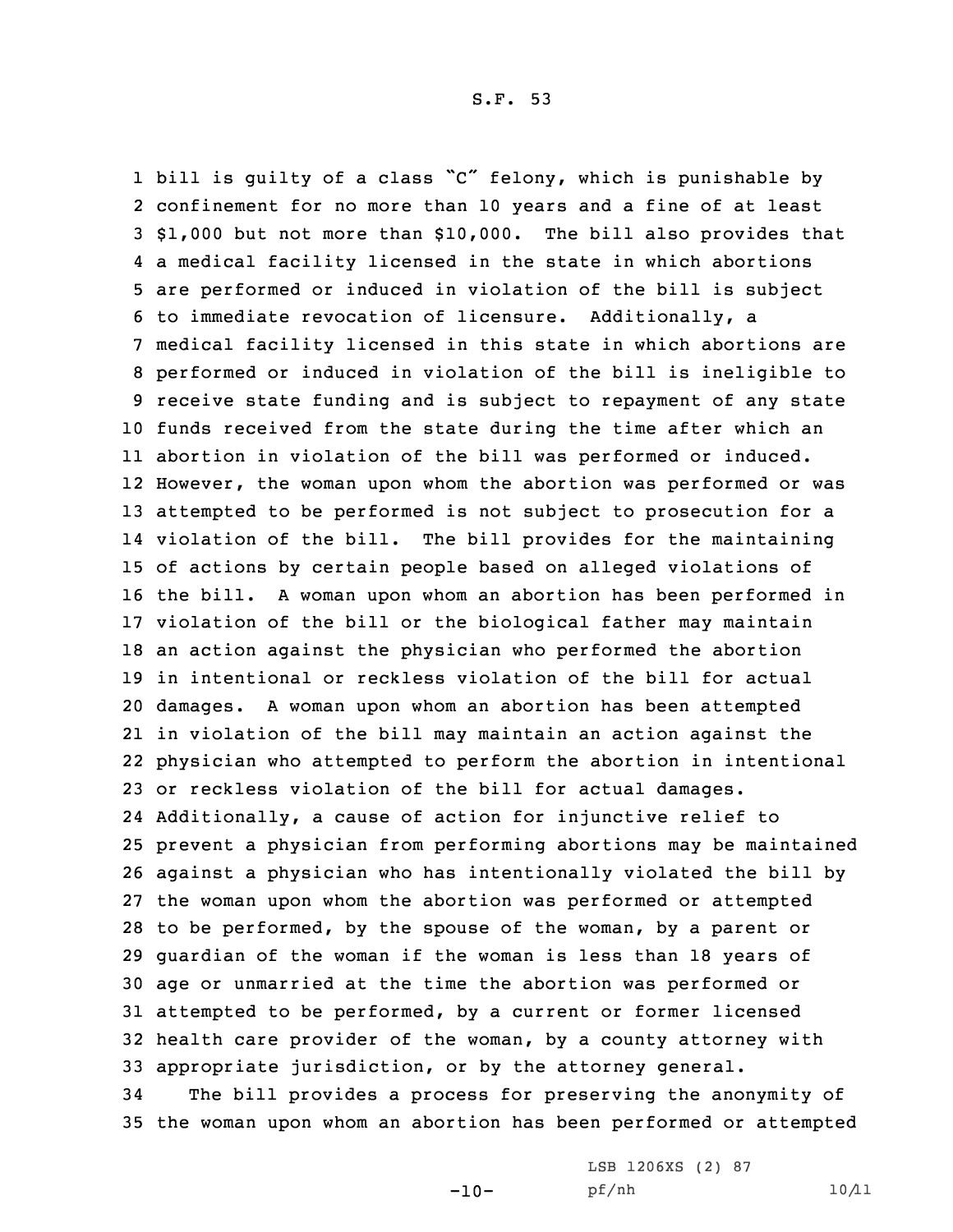bill is guilty of <sup>a</sup> class "C" felony, which is punishable by confinement for no more than 10 years and <sup>a</sup> fine of at least \$1,000 but not more than \$10,000. The bill also provides that <sup>a</sup> medical facility licensed in the state in which abortions are performed or induced in violation of the bill is subject to immediate revocation of licensure. Additionally, <sup>a</sup> medical facility licensed in this state in which abortions are performed or induced in violation of the bill is ineligible to receive state funding and is subject to repayment of any state funds received from the state during the time after which an abortion in violation of the bill was performed or induced. However, the woman upon whom the abortion was performed or was attempted to be performed is not subject to prosecution for <sup>a</sup> violation of the bill. The bill provides for the maintaining of actions by certain people based on alleged violations of the bill. <sup>A</sup> woman upon whom an abortion has been performed in violation of the bill or the biological father may maintain an action against the physician who performed the abortion in intentional or reckless violation of the bill for actual damages. <sup>A</sup> woman upon whom an abortion has been attempted in violation of the bill may maintain an action against the physician who attempted to perform the abortion in intentional or reckless violation of the bill for actual damages. Additionally, <sup>a</sup> cause of action for injunctive relief to prevent <sup>a</sup> physician from performing abortions may be maintained against <sup>a</sup> physician who has intentionally violated the bill by the woman upon whom the abortion was performed or attempted to be performed, by the spouse of the woman, by <sup>a</sup> parent or guardian of the woman if the woman is less than 18 years of age or unmarried at the time the abortion was performed or attempted to be performed, by <sup>a</sup> current or former licensed health care provider of the woman, by <sup>a</sup> county attorney with appropriate jurisdiction, or by the attorney general. The bill provides <sup>a</sup> process for preserving the anonymity of

35 the woman upon whom an abortion has been performed or attempted

 $-10-$ 

LSB 1206XS (2) 87 pf/nh 10/11